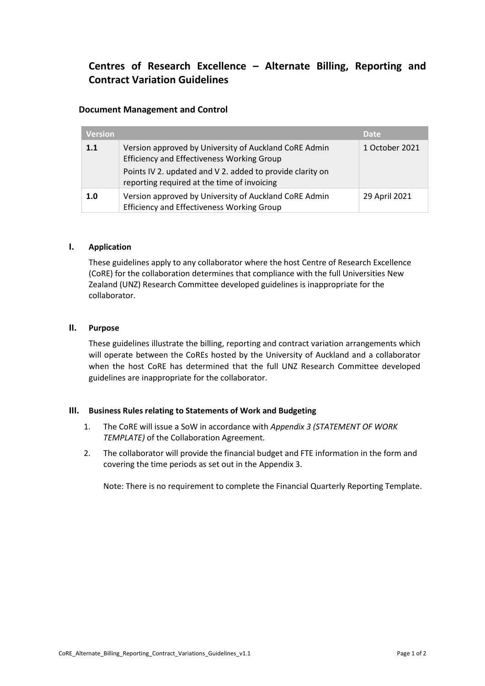# **Centres of Research Excellence – Alternate Billing, Reporting and Contract Variation Guidelines**

# **Document Management and Control**

| <b>Version</b> |                                                                                                            | <b>Date</b>    |
|----------------|------------------------------------------------------------------------------------------------------------|----------------|
| 1.1            | Version approved by University of Auckland CoRE Admin<br><b>Efficiency and Effectiveness Working Group</b> | 1 October 2021 |
|                | Points IV 2. updated and V 2. added to provide clarity on<br>reporting required at the time of invoicing   |                |
| 1.0            | Version approved by University of Auckland CoRE Admin<br><b>Efficiency and Effectiveness Working Group</b> | 29 April 2021  |

#### **I. Application**

These guidelines apply to any collaborator where the host Centre of Research Excellence (CoRE) for the collaboration determines that compliance with the full Universities New Zealand (UNZ) Research Committee developed guidelines is inappropriate for the collaborator.

## **II. Purpose**

These guidelines illustrate the billing, reporting and contract variation arrangements which will operate between the CoREs hosted by the University of Auckland and a collaborator when the host CoRE has determined that the full UNZ Research Committee developed guidelines are inappropriate for the collaborator.

#### **III. Business Rules relating to Statements of Work and Budgeting**

- 1. The CoRE will issue a SoW in accordance with *Appendix 3 (STATEMENT OF WORK TEMPLATE)* of the Collaboration Agreement.
- 2. The collaborator will provide the financial budget and FTE information in the form and covering the time periods as set out in the Appendix 3.

Note: There is no requirement to complete the Financial Quarterly Reporting Template.